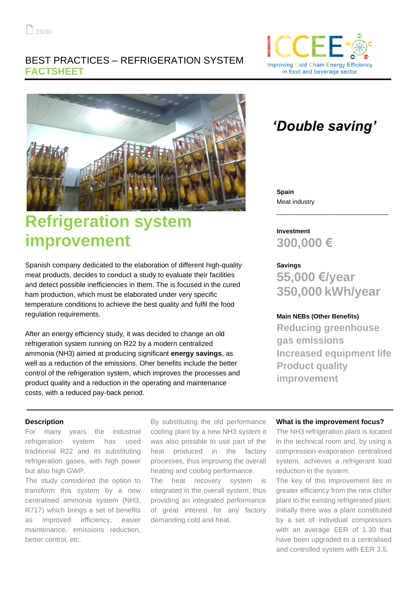### BEST PRACTICES – REFRIGERATION SYSTEM **FACTSHEET**





# **Refrigeration system improvement**

Spanish company dedicated to the elaboration of different high-quality meat products, decides to conduct a study to evaluate their facilities and detect possible inefficiencies in them. The is focused in the cured ham production, which must be elaborated under very specific temperature conditions to achieve the best quality and fulfil the food regulation requirements.

After an energy efficiency study, it was decided to change an old refrigeration system running on R22 by a modern centralized ammonia (NH3) aimed at producing significant **energy savings**, as well as a reduction of the emissions. Oher benefits include the better control of the refrigeration system, which improves the processes and product quality and a reduction in the operating and maintenance costs, with a reduced pay-back period.

## *'Double saving'*

**Spain** Meat industry

**Investment 300,000 €**

**Savings 55,000 €/year 350,000 kWh/year**

\_\_\_\_\_\_\_\_\_\_\_\_\_\_\_\_\_\_\_\_\_\_\_\_\_\_\_\_\_\_\_\_

#### **Main NEBs (Other Benefits)**

**Reducing greenhouse gas emissions Increased equipment life Product quality improvement**

#### **Description**

For many years the industrial refrigeration system has used traditional R22 and its substituting refrigeration gases, with high power but also high GWP.

The study considered the option to transform this system by a new centralised ammonia system (NH3, R717) which brings a set of benefits as improved efficiency, easier maintenance, emissions reduction, better control, etc.

By substituting the old performance cooling plant by a new NH3 system it was also possible to use part of the heat produced in the factory processes, thus improving the overall heating and cooling performance.

The heat recovery system is integrated in the overall system, thus providing an integrated performance of great interest for any factory demanding cold and heat.

#### **What is the improvement focus?**

The NH3 refrigeration plant is located in the technical room and, by using a compression-evaporation centralised system, achieves a refrigerant load reduction in the system.

The key of this improvement lies in greater efficiency from the new chiller plant to the existing refrigerated plant. Initially there was a plant constituted by a set of individual compressors with an average EER of 1.30 that have been upgraded to a centralised and controlled system with EER 3.5.